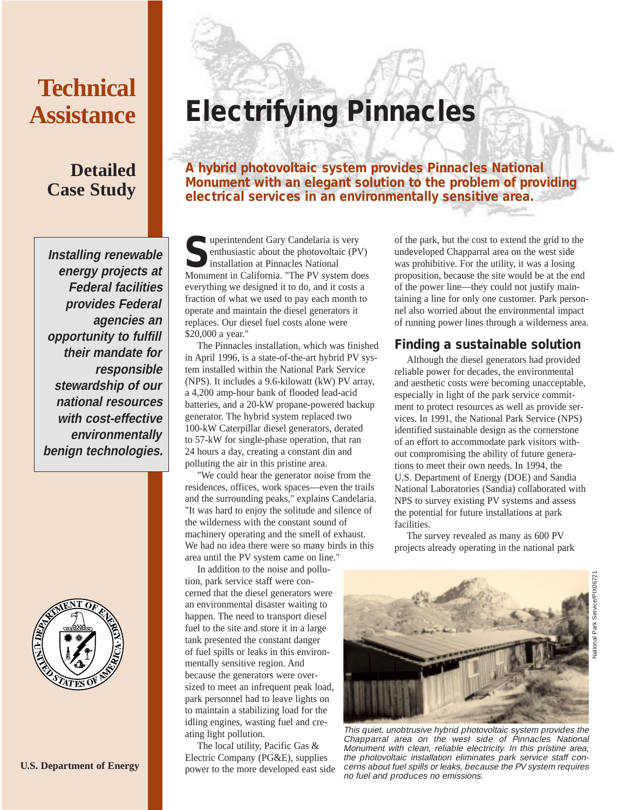# **Technical Assistance**

## **Detailed Case Study**

**Installing renewable energy projects at Federal facilities provides Federal agencies an opportunity to fulfill their mandate for responsible stewardship of our national resources with cost-effective environmentally benign technologies.**



# **Electrifying Pinnacles**

**A hybrid photovoltaic system provides Pinnacles National Monument with an elegant solution to the problem of providing electrical services in an environmentally sensitive area.**

**Superintendent Gary Candelaria is very enthusiastic about the photovoltaic (P) installation at Pinnacles National** enthusiastic about the photovoltaic (PV) installation at Pinnacles National Monument in California. "The PV system does everything we designed it to do, and it costs a fraction of what we used to pay each month to operate and maintain the diesel generators it replaces. Our diesel fuel costs alone were \$20,000 a year."

The Pinnacles installation, which was finished in April 1996, is a state-of-the-art hybrid PV system installed within the National Park Service (NPS). It includes a 9.6-kilowatt (kW) PV array, a 4,200 amp-hour bank of flooded lead-acid batteries, and a 20-kW propane-powered backup generator. The hybrid system replaced two 100-kW Caterpillar diesel generators, derated to 57-kW for single-phase operation, that ran 24 hours a day, creating a constant din and polluting the air in this pristine area.

"We could hear the generator noise from the residences, offices, work spaces—even the trails and the surrounding peaks," explains Candelaria. "It was hard to enjoy the solitude and silence of the wilderness with the constant sound of machinery operating and the smell of exhaust. We had no idea there were so many birds in this area until the PV system came on line."

In addition to the noise and pollution, park service staff were concerned that the diesel generators were an environmental disaster waiting to happen. The need to transport diesel fuel to the site and store it in a large tank presented the constant danger of fuel spills or leaks in this environmentally sensitive region. And because the generators were oversized to meet an infrequent peak load, park personnel had to leave lights on to maintain a stabilizing load for the idling engines, wasting fuel and creating light pollution.

The local utility, Pacific Gas & Electric Company (PG&E), supplies power to the more developed east side of the park, but the cost to extend the grid to the undeveloped Chapparral area on the west side was prohibitive. For the utility, it was a losing proposition, because the site would be at the end of the power line—they could not justify maintaining a line for only one customer. Park personnel also worried about the environmental impact of running power lines through a wilderness area.

## **Finding a sustainable solution**

Although the diesel generators had provided reliable power for decades, the environmental and aesthetic costs were becoming unacceptable, especially in light of the park service commitment to protect resources as well as provide services. In 1991, the National Park Service (NPS) identified sustainable design as the cornerstone of an effort to accommodate park visitors without compromising the ability of future generations to meet their own needs. In 1994, the U.S. Department of Energy (DOE) and Sandia National Laboratories (Sandia) collaborated with NPS to survey existing PV systems and assess the potential for future installations at park facilities.

The survey revealed as many as 600 PV projects already operating in the national park



This quiet, unobtrusive hybrid photovoltaic system provides the Chapparral area on the west side of Pinnacles National Monument with clean, reliable electricity. In this pristine area, the photovoltaic installation eliminates park service staff concerns about fuel spills or leaks, because the PV system requires no fuel and produces no emissions.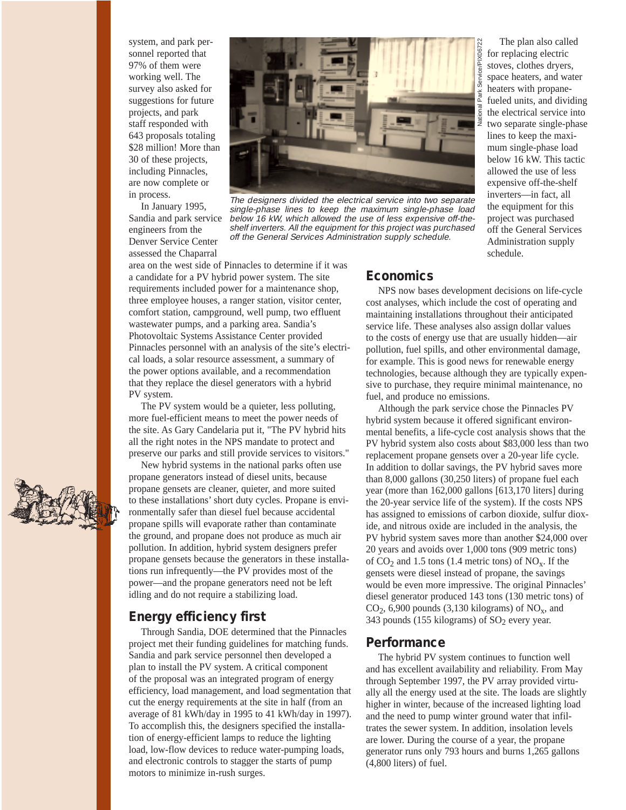system, and park personnel reported that 97% of them were working well. The survey also asked for suggestions for future projects, and park staff responded with 643 proposals totaling \$28 million! More than 30 of these projects, including Pinnacles, are now complete or in process.

In January 1995, Sandia and park service engineers from the Denver Service Center assessed the Chaparral



The designers divided the electrical service into two separate single-phase lines to keep the maximum single-phase load below 16 kW, which allowed the use of less expensive off-theshelf inverters. All the equipment for this project was purchased off the General Services Administration supply schedule.

area on the west side of Pinnacles to determine if it was a candidate for a PV hybrid power system. The site requirements included power for a maintenance shop, three employee houses, a ranger station, visitor center, comfort station, campground, well pump, two effluent wastewater pumps, and a parking area. Sandia's Photovoltaic Systems Assistance Center provided Pinnacles personnel with an analysis of the site's electrical loads, a solar resource assessment, a summary of the power options available, and a recommendation that they replace the diesel generators with a hybrid PV system.

The PV system would be a quieter, less polluting, more fuel-efficient means to meet the power needs of the site. As Gary Candelaria put it, "The PV hybrid hits all the right notes in the NPS mandate to protect and preserve our parks and still provide services to visitors."

New hybrid systems in the national parks often use propane generators instead of diesel units, because propane gensets are cleaner, quieter, and more suited to these installations' short duty cycles. Propane is environmentally safer than diesel fuel because accidental propane spills will evaporate rather than contaminate the ground, and propane does not produce as much air pollution. In addition, hybrid system designers prefer propane gensets because the generators in these installations run infrequently—the PV provides most of the power—and the propane generators need not be left idling and do not require a stabilizing load.

#### **Energy efficiency first**

Through Sandia, DOE determined that the Pinnacles project met their funding guidelines for matching funds. Sandia and park service personnel then developed a plan to install the PV system. A critical component of the proposal was an integrated program of energy efficiency, load management, and load segmentation that cut the energy requirements at the site in half (from an average of 81 kWh/day in 1995 to 41 kWh/day in 1997). To accomplish this, the designers specified the installation of energy-efficient lamps to reduce the lighting load, low-flow devices to reduce water-pumping loads, and electronic controls to stagger the starts of pump motors to minimize in-rush surges.

## **Economics**

NPS now bases development decisions on life-cycle cost analyses, which include the cost of operating and maintaining installations throughout their anticipated service life. These analyses also assign dollar values to the costs of energy use that are usually hidden—air pollution, fuel spills, and other environmental damage, for example. This is good news for renewable energy technologies, because although they are typically expensive to purchase, they require minimal maintenance, no fuel, and produce no emissions.

schedule.

The plan also called for replacing electric stoves, clothes dryers, space heaters, and water heaters with propanefueled units, and dividing the electrical service into two separate single-phase lines to keep the maximum single-phase load below 16 kW. This tactic allowed the use of less expensive off-the-shelf inverters—in fact, all the equipment for this project was purchased off the General Services Administration supply

Although the park service chose the Pinnacles PV hybrid system because it offered significant environmental benefits, a life-cycle cost analysis shows that the PV hybrid system also costs about \$83,000 less than two replacement propane gensets over a 20-year life cycle. In addition to dollar savings, the PV hybrid saves more than 8,000 gallons (30,250 liters) of propane fuel each year (more than 162,000 gallons [613,170 liters] during the 20-year service life of the system). If the costs NPS has assigned to emissions of carbon dioxide, sulfur dioxide, and nitrous oxide are included in the analysis, the PV hybrid system saves more than another \$24,000 over 20 years and avoids over 1,000 tons (909 metric tons) of  $CO_2$  and 1.5 tons (1.4 metric tons) of  $NO_x$ . If the gensets were diesel instead of propane, the savings would be even more impressive. The original Pinnacles' diesel generator produced 143 tons (130 metric tons) of  $CO<sub>2</sub>$ , 6,900 pounds (3,130 kilograms) of NO<sub>x</sub>, and 343 pounds (155 kilograms) of  $SO<sub>2</sub>$  every year.

#### **Performance**

The hybrid PV system continues to function well and has excellent availability and reliability. From May through September 1997, the PV array provided virtually all the energy used at the site. The loads are slightly higher in winter, because of the increased lighting load and the need to pump winter ground water that infiltrates the sewer system. In addition, insolation levels are lower. During the course of a year, the propane generator runs only 793 hours and burns 1,265 gallons (4,800 liters) of fuel.

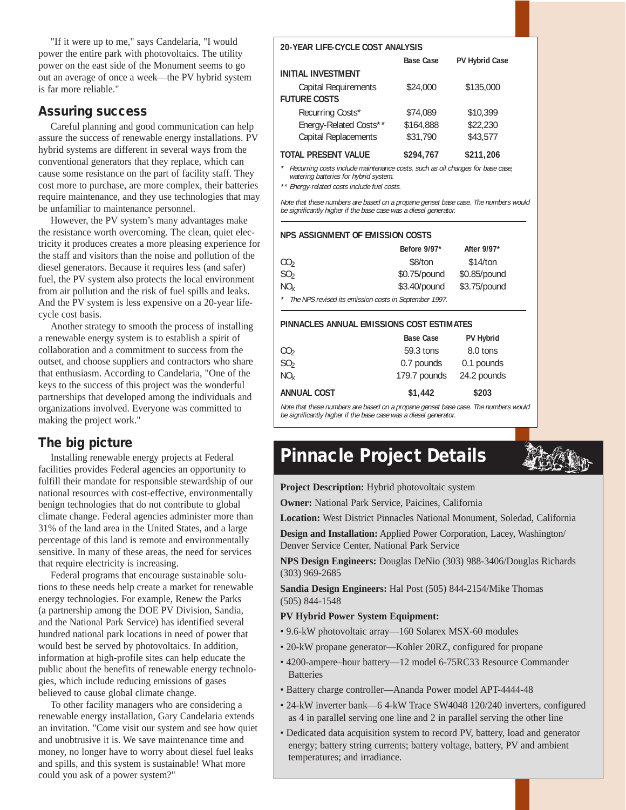"If it were up to me," says Candelaria, "I would power the entire park with photovoltaics. The utility power on the east side of the Monument seems to go out an average of once a week—the PV hybrid system is far more reliable."

## **Assuring success**

Careful planning and good communication can help assure the success of renewable energy installations. PV hybrid systems are different in several ways from the conventional generators that they replace, which can cause some resistance on the part of facility staff. They cost more to purchase, are more complex, their batteries require maintenance, and they use technologies that may be unfamiliar to maintenance personnel.

However, the PV system's many advantages make the resistance worth overcoming. The clean, quiet electricity it produces creates a more pleasing experience for the staff and visitors than the noise and pollution of the diesel generators. Because it requires less (and safer) fuel, the PV system also protects the local environment from air pollution and the risk of fuel spills and leaks. And the PV system is less expensive on a 20-year lifecycle cost basis.

Another strategy to smooth the process of installing a renewable energy system is to establish a spirit of collaboration and a commitment to success from the outset, and choose suppliers and contractors who share that enthusiasm. According to Candelaria, "One of the keys to the success of this project was the wonderful partnerships that developed among the individuals and organizations involved. Everyone was committed to making the project work."

## **The big picture**

Installing renewable energy projects at Federal facilities provides Federal agencies an opportunity to fulfill their mandate for responsible stewardship of our national resources with cost-effective, environmentally benign technologies that do not contribute to global climate change. Federal agencies administer more than 31% of the land area in the United States, and a large percentage of this land is remote and environmentally sensitive. In many of these areas, the need for services that require electricity is increasing.

Federal programs that encourage sustainable solutions to these needs help create a market for renewable energy technologies. For example, Renew the Parks (a partnership among the DOE PV Division, Sandia, and the National Park Service) has identified several hundred national park locations in need of power that would best be served by photovoltaics. In addition, information at high-profile sites can help educate the public about the benefits of renewable energy technologies, which include reducing emissions of gases believed to cause global climate change.

To other facility managers who are considering a renewable energy installation, Gary Candelaria extends an invitation. "Come visit our system and see how quiet and unobtrusive it is. We save maintenance time and money, no longer have to worry about diesel fuel leaks and spills, and this system is sustainable! What more could you ask of a power system?"

#### **20-YEAR LIFE-CYCLE COST ANALYSIS**

|                           | <b>Base Case</b> | <b>PV Hybrid Case</b> |
|---------------------------|------------------|-----------------------|
| <b>INITIAL INVESTMENT</b> |                  |                       |
| Capital Requirements      | \$24,000         | \$135,000             |
| <b>FUTURE COSTS</b>       |                  |                       |
| Recurring Costs*          | \$74,089         | \$10,399              |
| Energy-Related Costs**    | \$164,888        | \$22,230              |
| Capital Replacements      | \$31,790         | \$43,577              |
|                           |                  |                       |

#### **TOTAL PRESENT VALUE \$294,767 \$211,206**

\* Recurring costs include maintenance costs, such as oil changes for base case, watering batteries for hybrid system.

\*\* Energy-related costs include fuel costs.

Note that these numbers are based on a propane genset base case. The numbers would be significantly higher if the base case was a diesel generator.

#### **NPS ASSIGNMENT OF EMISSION COSTS**

|                                                       | Before 9/97* | After 9/97*  |  |
|-------------------------------------------------------|--------------|--------------|--|
| CO <sub>2</sub>                                       | \$8/ton      | \$14/ton     |  |
| SO <sub>2</sub>                                       | \$0.75/pound | \$0.85/pound |  |
| $NO_{\rm v}$                                          | \$3.40/pound | \$3.75/pound |  |
| The NPS revised its emission costs in September 1997. |              |              |  |

#### **PINNACLES ANNUAL EMISSIONS COST ESTIMATES**

|                    | <b>Base Case</b> | <b>PV Hybrid</b> |
|--------------------|------------------|------------------|
| CO <sub>2</sub>    | 59.3 tons        | 8.0 tons         |
| SO <sub>2</sub>    | 0.7 pounds       | 0.1 pounds       |
| NO <sub>v</sub>    | 179.7 pounds     | 24.2 pounds      |
| <b>ANNUAL COST</b> | \$1,442          | \$203            |

Note that these numbers are based on a propane genset base case. The numbers would be significantly higher if the base case was a diesel generator.

# **Pinnacle Project Details**

**Project Description:** Hybrid photovoltaic system

**Owner:** National Park Service, Paicines, California

**Location:** West District Pinnacles National Monument, Soledad, California

**Design and Installation:** Applied Power Corporation, Lacey, Washington/ Denver Service Center, National Park Service

**NPS Design Engineers:** Douglas DeNio (303) 988-3406/Douglas Richards (303) 969-2685

**Sandia Design Engineers:** Hal Post (505) 844-2154/Mike Thomas (505) 844-1548

#### **PV Hybrid Power System Equipment:**

- 9.6-kW photovoltaic array—160 Solarex MSX-60 modules
- 20-kW propane generator—Kohler 20RZ, configured for propane
- 4200-ampere–hour battery—12 model 6-75RC33 Resource Commander Batteries
- Battery charge controller—Ananda Power model APT-4444-48
- 24-kW inverter bank—6 4-kW Trace SW4048 120/240 inverters, configured as 4 in parallel serving one line and 2 in parallel serving the other line
- Dedicated data acquisition system to record PV, battery, load and generator energy; battery string currents; battery voltage, battery, PV and ambient temperatures; and irradiance.